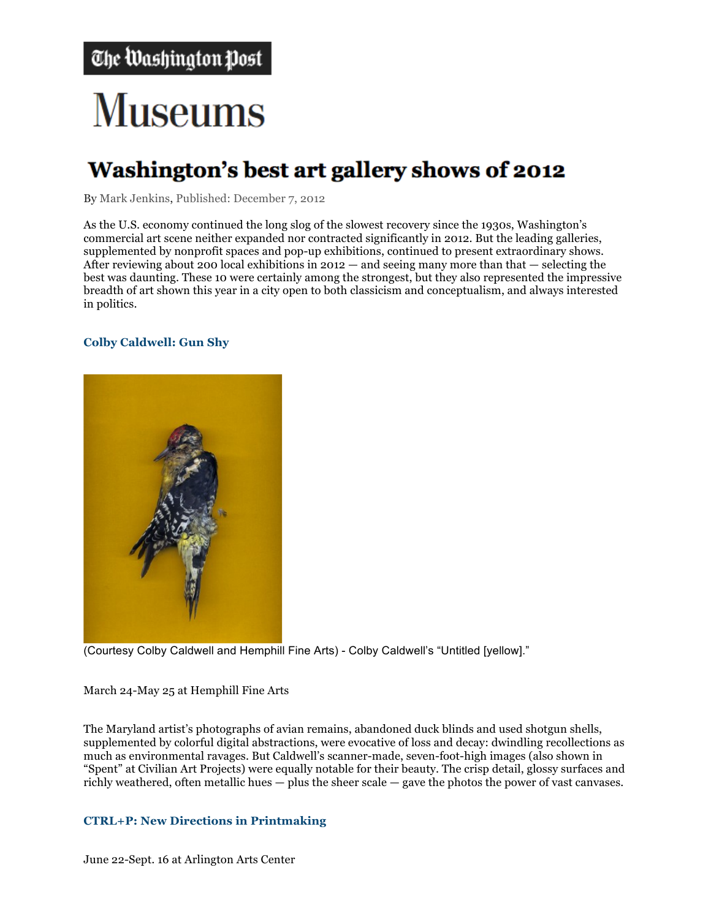# **Museums**

## Washington's best art gallery shows of 2012

By Mark Jenkins, Published: December 7, 2012

As the U.S. economy continued the long slog of the slowest recovery since the 1930s, Washington's commercial art scene neither expanded nor contracted significantly in 2012. But the leading galleries, supplemented by nonprofit spaces and pop-up exhibitions, continued to present extraordinary shows. After reviewing about 200 local exhibitions in  $2012 -$  and seeing many more than that  $-$  selecting the best was daunting. These 10 were certainly among the strongest, but they also represented the impressive breadth of art shown this year in a city open to both classicism and conceptualism, and always interested in politics.

### **Colby Caldwell: Gun Shy**



(Courtesy Colby Caldwell and Hemphill Fine Arts) - Colby Caldwell's "Untitled [yellow]."

March 24-May 25 at Hemphill Fine Arts

The Maryland artist's photographs of avian remains, abandoned duck blinds and used shotgun shells, supplemented by colorful digital abstractions, were evocative of loss and decay: dwindling recollections as much as environmental ravages. But Caldwell's scanner-made, seven-foot-high images (also shown in "Spent" at Civilian Art Projects) were equally notable for their beauty. The crisp detail, glossy surfaces and richly weathered, often metallic hues — plus the sheer scale — gave the photos the power of vast canvases.

### **CTRL+P: New Directions in Printmaking**

June 22-Sept. 16 at Arlington Arts Center